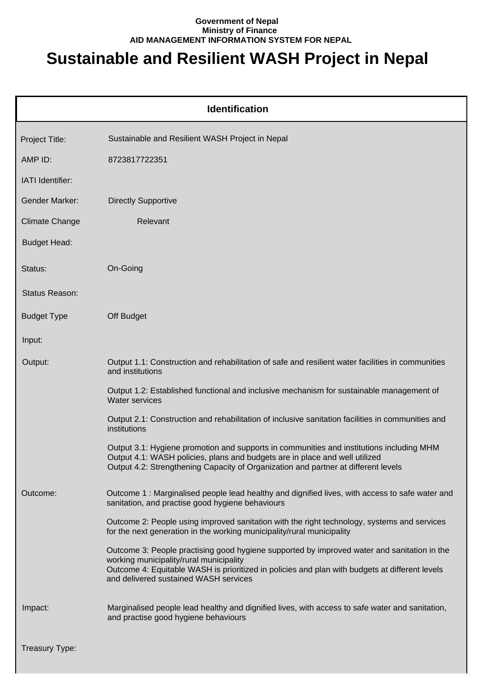#### **Government of Nepal Ministry of Finance AID MANAGEMENT INFORMATION SYSTEM FOR NEPAL**

# **Sustainable and Resilient WASH Project in Nepal**

|                       | <b>Identification</b>                                                                                                                                                                                                                                                             |
|-----------------------|-----------------------------------------------------------------------------------------------------------------------------------------------------------------------------------------------------------------------------------------------------------------------------------|
| Project Title:        | Sustainable and Resilient WASH Project in Nepal                                                                                                                                                                                                                                   |
| AMP ID:               | 8723817722351                                                                                                                                                                                                                                                                     |
| IATI Identifier:      |                                                                                                                                                                                                                                                                                   |
| <b>Gender Marker:</b> | <b>Directly Supportive</b>                                                                                                                                                                                                                                                        |
| <b>Climate Change</b> | Relevant                                                                                                                                                                                                                                                                          |
| <b>Budget Head:</b>   |                                                                                                                                                                                                                                                                                   |
| Status:               | On-Going                                                                                                                                                                                                                                                                          |
| Status Reason:        |                                                                                                                                                                                                                                                                                   |
| <b>Budget Type</b>    | Off Budget                                                                                                                                                                                                                                                                        |
| Input:                |                                                                                                                                                                                                                                                                                   |
| Output:               | Output 1.1: Construction and rehabilitation of safe and resilient water facilities in communities<br>and institutions                                                                                                                                                             |
|                       | Output 1.2: Established functional and inclusive mechanism for sustainable management of<br><b>Water services</b>                                                                                                                                                                 |
|                       | Output 2.1: Construction and rehabilitation of inclusive sanitation facilities in communities and<br>institutions                                                                                                                                                                 |
|                       | Output 3.1: Hygiene promotion and supports in communities and institutions including MHM<br>Output 4.1: WASH policies, plans and budgets are in place and well utilized<br>Output 4.2: Strengthening Capacity of Organization and partner at different levels                     |
| Outcome:              | Outcome 1: Marginalised people lead healthy and dignified lives, with access to safe water and<br>sanitation, and practise good hygiene behaviours                                                                                                                                |
|                       | Outcome 2: People using improved sanitation with the right technology, systems and services<br>for the next generation in the working municipality/rural municipality                                                                                                             |
|                       | Outcome 3: People practising good hygiene supported by improved water and sanitation in the<br>working municipality/rural municipality<br>Outcome 4: Equitable WASH is prioritized in policies and plan with budgets at different levels<br>and delivered sustained WASH services |
| Impact:               | Marginalised people lead healthy and dignified lives, with access to safe water and sanitation,<br>and practise good hygiene behaviours                                                                                                                                           |
| Treasury Type:        |                                                                                                                                                                                                                                                                                   |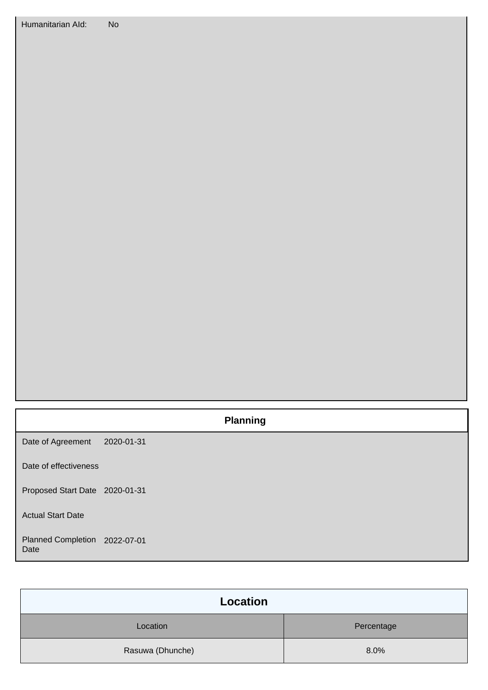## **Planning**

Date of Agreement 2020-01-31

Date of effectiveness

Proposed Start Date 2020-01-31

Actual Start Date

#### Planned Completion 2022-07-01 Date

| Location         |            |
|------------------|------------|
| Location         | Percentage |
| Rasuwa (Dhunche) | 8.0%       |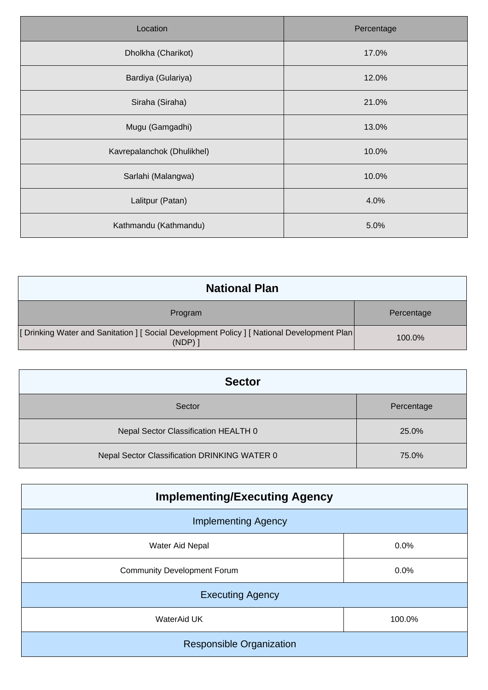| Location                   | Percentage |
|----------------------------|------------|
| Dholkha (Charikot)         | 17.0%      |
| Bardiya (Gulariya)         | 12.0%      |
| Siraha (Siraha)            | 21.0%      |
| Mugu (Gamgadhi)            | 13.0%      |
| Kavrepalanchok (Dhulikhel) | 10.0%      |
| Sarlahi (Malangwa)         | 10.0%      |
| Lalitpur (Patan)           | 4.0%       |
| Kathmandu (Kathmandu)      | 5.0%       |

| <b>National Plan</b>                                                                                   |            |
|--------------------------------------------------------------------------------------------------------|------------|
| Program                                                                                                | Percentage |
| [Drinking Water and Sanitation ] [Social Development Policy ] [National Development Plan]<br>$(NDP)$ ] | 100.0%     |

| <b>Sector</b>                                |            |
|----------------------------------------------|------------|
| Sector                                       | Percentage |
| Nepal Sector Classification HEALTH 0         | 25.0%      |
| Nepal Sector Classification DRINKING WATER 0 | 75.0%      |

| <b>Implementing/Executing Agency</b> |        |  |
|--------------------------------------|--------|--|
| <b>Implementing Agency</b>           |        |  |
| <b>Water Aid Nepal</b>               | 0.0%   |  |
| <b>Community Development Forum</b>   | 0.0%   |  |
| <b>Executing Agency</b>              |        |  |
| WaterAid UK                          | 100.0% |  |
| <b>Responsible Organization</b>      |        |  |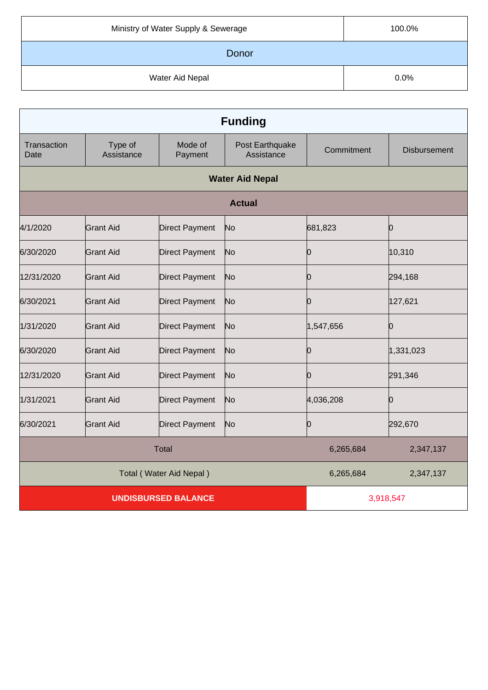| Ministry of Water Supply & Sewerage | 100.0% |
|-------------------------------------|--------|
| Donor                               |        |
| Water Aid Nepal                     | 0.0%   |

| <b>Funding</b>             |                       |                       |                               |            |                     |
|----------------------------|-----------------------|-----------------------|-------------------------------|------------|---------------------|
| Transaction<br>Date        | Type of<br>Assistance | Mode of<br>Payment    | Post Earthquake<br>Assistance | Commitment | <b>Disbursement</b> |
|                            |                       |                       | <b>Water Aid Nepal</b>        |            |                     |
|                            |                       |                       | <b>Actual</b>                 |            |                     |
| 4/1/2020                   | <b>Grant Aid</b>      | <b>Direct Payment</b> | No                            | 681,823    | Ю                   |
| 6/30/2020                  | <b>Grant Aid</b>      | <b>Direct Payment</b> | No                            | Ю          | 10,310              |
| 12/31/2020                 | <b>Grant Aid</b>      | <b>Direct Payment</b> | No                            | 10         | 294,168             |
| 6/30/2021                  | <b>Grant Aid</b>      | <b>Direct Payment</b> | No                            | 0          | 127,621             |
| 1/31/2020                  | <b>Grant Aid</b>      | <b>Direct Payment</b> | No                            | 1,547,656  | Ю                   |
| 6/30/2020                  | <b>Grant Aid</b>      | <b>Direct Payment</b> | No                            | 10         | 1,331,023           |
| 12/31/2020                 | <b>Grant Aid</b>      | <b>Direct Payment</b> | No                            | 10         | 291,346             |
| 1/31/2021                  | <b>Grant Aid</b>      | <b>Direct Payment</b> | No                            | 4,036,208  | n                   |
| 6/30/2021                  | <b>Grant Aid</b>      | <b>Direct Payment</b> | No                            | Ю          | 292,670             |
| <b>Total</b>               |                       |                       | 6,265,684                     | 2,347,137  |                     |
| Total (Water Aid Nepal)    |                       |                       | 6,265,684                     | 2,347,137  |                     |
| <b>UNDISBURSED BALANCE</b> |                       | 3,918,547             |                               |            |                     |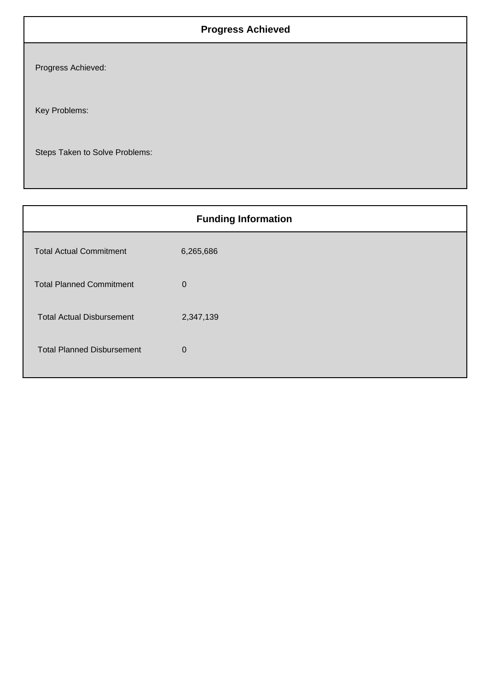## **Progress Achieved**

Progress Achieved:

Key Problems:

Steps Taken to Solve Problems:

| <b>Funding Information</b>        |             |  |
|-----------------------------------|-------------|--|
| <b>Total Actual Commitment</b>    | 6,265,686   |  |
| <b>Total Planned Commitment</b>   | $\mathbf 0$ |  |
| <b>Total Actual Disbursement</b>  | 2,347,139   |  |
| <b>Total Planned Disbursement</b> | $\mathbf 0$ |  |
|                                   |             |  |